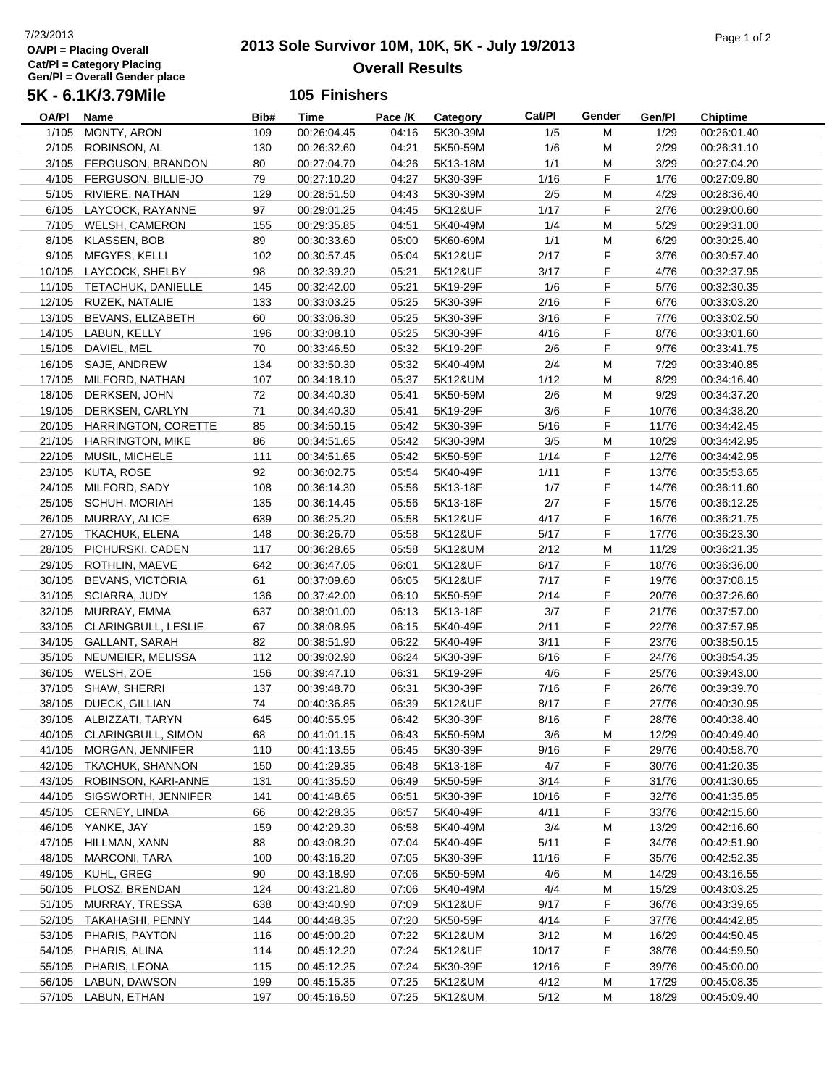## **OA/Pl = Placing Overall Cat/Pl = Category Placing Gen/Pl = Overall Gender place 5K - 6.1K/3.79Mile**

# **2013 Sole Survivor 10M, 10K, 5K - July 19/2013** 7/23/2013 Page 1 of 2 **Overall Results**

#### **105 Finishers**

| OA/PI  | Name                       | Bib# | Time        | Pace /K | Category | Cat/Pl | Gender | Gen/Pl | <b>Chiptime</b> |
|--------|----------------------------|------|-------------|---------|----------|--------|--------|--------|-----------------|
| 1/105  | MONTY, ARON                | 109  | 00:26:04.45 | 04:16   | 5K30-39M | 1/5    | M      | 1/29   | 00:26:01.40     |
| 2/105  | ROBINSON, AL               | 130  | 00:26:32.60 | 04:21   | 5K50-59M | 1/6    | M      | 2/29   | 00:26:31.10     |
|        | 3/105 FERGUSON, BRANDON    | 80   | 00:27:04.70 | 04:26   | 5K13-18M | 1/1    | M      | 3/29   | 00:27:04.20     |
|        | 4/105 FERGUSON, BILLIE-JO  | 79   | 00:27:10.20 | 04:27   | 5K30-39F | 1/16   | F      | 1/76   | 00:27:09.80     |
|        | 5/105 RIVIERE, NATHAN      | 129  | 00:28:51.50 | 04:43   | 5K30-39M | 2/5    | M      | 4/29   | 00:28:36.40     |
|        | 6/105 LAYCOCK, RAYANNE     | 97   | 00:29:01.25 | 04:45   | 5K12&UF  | 1/17   | F      | 2/76   | 00:29:00.60     |
|        | 7/105 WELSH, CAMERON       | 155  | 00:29:35.85 | 04:51   | 5K40-49M | 1/4    | M      | 5/29   | 00:29:31.00     |
|        | 8/105 KLASSEN, BOB         | 89   | 00:30:33.60 | 05:00   | 5K60-69M | 1/1    | M      | 6/29   | 00:30:25.40     |
|        | 9/105 MEGYES, KELLI        | 102  | 00:30:57.45 | 05:04   | 5K12&UF  | 2/17   | F      | 3/76   | 00:30:57.40     |
|        | 10/105 LAYCOCK, SHELBY     | 98   | 00:32:39.20 | 05:21   | 5K12&UF  | 3/17   | F      | 4/76   | 00:32:37.95     |
|        | 11/105 TETACHUK, DANIELLE  | 145  | 00:32:42.00 | 05:21   | 5K19-29F | 1/6    | F      | 5/76   | 00:32:30.35     |
|        | 12/105 RUZEK, NATALIE      | 133  | 00:33:03.25 | 05:25   | 5K30-39F | 2/16   | F      | 6/76   | 00:33:03.20     |
|        | 13/105 BEVANS, ELIZABETH   | 60   | 00:33:06.30 | 05:25   | 5K30-39F | 3/16   | F      | 7/76   | 00:33:02.50     |
|        | 14/105 LABUN, KELLY        | 196  | 00:33:08.10 | 05:25   | 5K30-39F | 4/16   | F      | 8/76   | 00:33:01.60     |
| 15/105 | DAVIEL, MEL                | 70   | 00:33:46.50 | 05:32   | 5K19-29F | 2/6    | F      | 9/76   | 00:33:41.75     |
|        | 16/105 SAJE, ANDREW        | 134  | 00:33:50.30 | 05:32   | 5K40-49M | 2/4    | M      | 7/29   | 00:33:40.85     |
|        | 17/105 MILFORD, NATHAN     | 107  | 00:34:18.10 | 05:37   | 5K12&UM  | 1/12   | M      | 8/29   | 00:34:16.40     |
|        | 18/105 DERKSEN, JOHN       | 72   | 00:34:40.30 | 05:41   | 5K50-59M | 2/6    | M      | 9/29   | 00:34:37.20     |
|        | 19/105 DERKSEN, CARLYN     | 71   | 00:34:40.30 | 05:41   | 5K19-29F | 3/6    | F      | 10/76  | 00:34:38.20     |
|        | 20/105 HARRINGTON, CORETTE | 85   |             | 05:42   | 5K30-39F | 5/16   | F      | 11/76  |                 |
|        | 21/105 HARRINGTON, MIKE    |      | 00:34:50.15 |         | 5K30-39M |        |        |        | 00:34:42.45     |
|        |                            | 86   | 00:34:51.65 | 05:42   |          | 3/5    | M      | 10/29  | 00:34:42.95     |
|        | 22/105 MUSIL, MICHELE      | 111  | 00:34:51.65 | 05:42   | 5K50-59F | 1/14   | F      | 12/76  | 00:34:42.95     |
|        | 23/105 KUTA, ROSE          | 92   | 00:36:02.75 | 05:54   | 5K40-49F | 1/11   | F      | 13/76  | 00:35:53.65     |
|        | 24/105 MILFORD, SADY       | 108  | 00:36:14.30 | 05:56   | 5K13-18F | 1/7    | F      | 14/76  | 00:36:11.60     |
|        | 25/105 SCHUH, MORIAH       | 135  | 00:36:14.45 | 05:56   | 5K13-18F | 2/7    | F      | 15/76  | 00:36:12.25     |
|        | 26/105 MURRAY, ALICE       | 639  | 00:36:25.20 | 05:58   | 5K12&UF  | 4/17   | F      | 16/76  | 00:36:21.75     |
|        | 27/105 TKACHUK, ELENA      | 148  | 00:36:26.70 | 05:58   | 5K12&UF  | 5/17   | F      | 17/76  | 00:36:23.30     |
| 28/105 | PICHURSKI, CADEN           | 117  | 00:36:28.65 | 05:58   | 5K12&UM  | 2/12   | M      | 11/29  | 00:36:21.35     |
|        | 29/105 ROTHLIN, MAEVE      | 642  | 00:36:47.05 | 06:01   | 5K12&UF  | 6/17   | F      | 18/76  | 00:36:36.00     |
| 30/105 | BEVANS, VICTORIA           | 61   | 00:37:09.60 | 06:05   | 5K12&UF  | 7/17   | F      | 19/76  | 00:37:08.15     |
|        | 31/105 SCIARRA, JUDY       | 136  | 00:37:42.00 | 06:10   | 5K50-59F | 2/14   | F      | 20/76  | 00:37:26.60     |
|        | 32/105 MURRAY, EMMA        | 637  | 00:38:01.00 | 06:13   | 5K13-18F | 3/7    | F      | 21/76  | 00:37:57.00     |
|        | 33/105 CLARINGBULL, LESLIE | 67   | 00:38:08.95 | 06:15   | 5K40-49F | 2/11   | F      | 22/76  | 00:37:57.95     |
|        | 34/105 GALLANT, SARAH      | 82   | 00:38:51.90 | 06:22   | 5K40-49F | 3/11   | F      | 23/76  | 00:38:50.15     |
|        | 35/105 NEUMEIER, MELISSA   | 112  | 00:39:02.90 | 06:24   | 5K30-39F | 6/16   | F      | 24/76  | 00:38:54.35     |
|        | 36/105 WELSH, ZOE          | 156  | 00:39:47.10 | 06:31   | 5K19-29F | 4/6    | F      | 25/76  | 00:39:43.00     |
|        | 37/105 SHAW, SHERRI        | 137  | 00:39:48.70 | 06:31   | 5K30-39F | 7/16   | F      | 26/76  | 00:39:39.70     |
| 38/105 | DUECK, GILLIAN             | 74   | 00:40:36.85 | 06:39   | 5K12&UF  | 8/17   | F      | 27/76  | 00:40:30.95     |
|        | 39/105 ALBIZZATI, TARYN    | 645  | 00:40:55.95 | 06:42   | 5K30-39F | 8/16   | F      | 28/76  | 00:40:38.40     |
|        | 40/105 CLARINGBULL, SIMON  | 68   | 00:41:01.15 | 06:43   | 5K50-59M | 3/6    | M      | 12/29  | 00:40:49.40     |
|        | 41/105 MORGAN, JENNIFER    | 110  | 00:41:13.55 | 06:45   | 5K30-39F | 9/16   | F      | 29/76  | 00:40:58.70     |
|        | 42/105 TKACHUK, SHANNON    | 150  | 00:41:29.35 | 06:48   | 5K13-18F | 4/7    | F      | 30/76  | 00:41:20.35     |
| 43/105 | ROBINSON, KARI-ANNE        | 131  | 00:41:35.50 | 06:49   | 5K50-59F | 3/14   | F      | 31/76  | 00:41:30.65     |
|        | 44/105 SIGSWORTH, JENNIFER | 141  | 00:41:48.65 | 06:51   | 5K30-39F | 10/16  | F      | 32/76  | 00:41:35.85     |
|        | 45/105 CERNEY, LINDA       | 66   | 00:42:28.35 | 06:57   | 5K40-49F | 4/11   | F      | 33/76  | 00:42:15.60     |
|        | 46/105 YANKE, JAY          | 159  | 00:42:29.30 | 06:58   | 5K40-49M | 3/4    | M      | 13/29  | 00:42:16.60     |
| 47/105 | HILLMAN, XANN              | 88   | 00:43:08.20 | 07:04   | 5K40-49F | 5/11   | F      | 34/76  | 00:42:51.90     |
|        | 48/105 MARCONI, TARA       | 100  | 00:43:16.20 | 07:05   | 5K30-39F | 11/16  | F      | 35/76  | 00:42:52.35     |
|        | 49/105 KUHL, GREG          | 90   | 00:43:18.90 | 07:06   | 5K50-59M | 4/6    | M      | 14/29  | 00:43:16.55     |
|        | 50/105 PLOSZ, BRENDAN      | 124  | 00:43:21.80 | 07:06   | 5K40-49M | 4/4    | M      | 15/29  | 00:43:03.25     |
|        | 51/105 MURRAY, TRESSA      | 638  | 00:43:40.90 | 07:09   | 5K12&UF  | 9/17   | F      | 36/76  | 00:43:39.65     |
|        | 52/105 TAKAHASHI, PENNY    | 144  | 00:44:48.35 | 07:20   | 5K50-59F | 4/14   | F      | 37/76  | 00:44:42.85     |
|        | 53/105 PHARIS, PAYTON      | 116  | 00:45:00.20 | 07:22   | 5K12&UM  | 3/12   | M      | 16/29  | 00:44:50.45     |
|        | 54/105 PHARIS, ALINA       |      |             |         |          |        |        |        |                 |
|        |                            | 114  | 00:45:12.20 | 07:24   | 5K12&UF  | 10/17  | F      | 38/76  | 00:44:59.50     |
| 55/105 | PHARIS, LEONA              | 115  | 00:45:12.25 | 07:24   | 5K30-39F | 12/16  | F      | 39/76  | 00:45:00.00     |
|        | 56/105 LABUN, DAWSON       | 199  | 00:45:15.35 | 07:25   | 5K12&UM  | 4/12   | M      | 17/29  | 00:45:08.35     |
|        | 57/105 LABUN, ETHAN        | 197  | 00:45:16.50 | 07:25   | 5K12&UM  | 5/12   | M      | 18/29  | 00:45:09.40     |